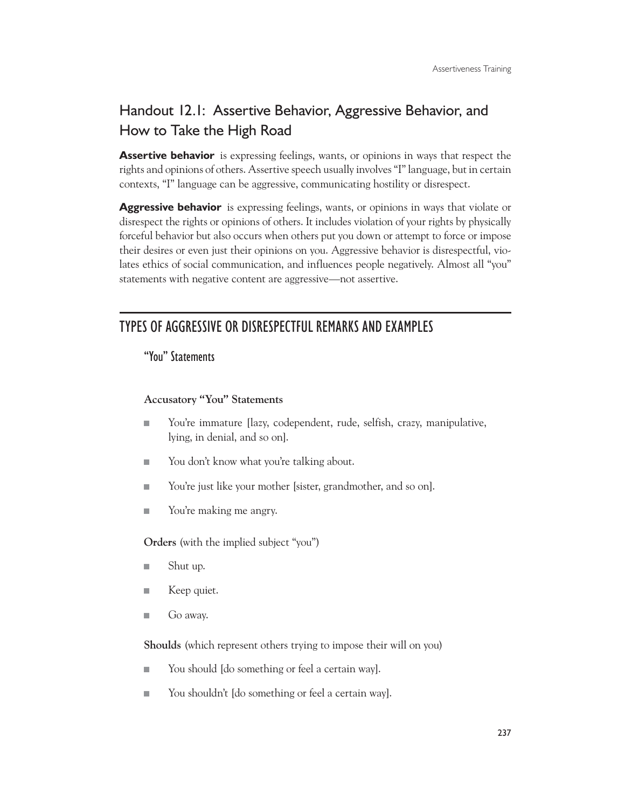# Handout 12.1: Assertive Behavior, Aggressive Behavior, and How to Take the High Road

**Assertive behavior** is expressing feelings, wants, or opinions in ways that respect the rights and opinions of others. Assertive speech usually involves "I" language, but in certain contexts, "I" language can be aggressive, communicating hostility or disrespect.

Aggressive behavior is expressing feelings, wants, or opinions in ways that violate or disrespect the rights or opinions of others. It includes violation of your rights by physically forceful behavior but also occurs when others put you down or attempt to force or impose their desires or even just their opinions on you. Aggressive behavior is disrespectful, violates ethics of social communication, and influences people negatively. Almost all "you" statements with negative content are aggressive—not assertive.

# TYPES OF AGGRESSIVE OR DISRESPECTFUL REMARKS AND EXAMPLES

"You" Statements

### **Accusatory "You" Statements**

- You're immature [lazy, codependent, rude, selfish, crazy, manipulative, lying, in denial, and so on].
- You don't know what you're talking about.
- You're just like your mother [sister, grandmother, and so on].
- You're making me angry.

**Orders** (with the implied subject "you")

- Shut up.
- $\blacksquare$  Keep quiet.
- Go away.

**Shoulds** (which represent others trying to impose their will on you)

- You should [do something or feel a certain way].
- You shouldn't [do something or feel a certain way].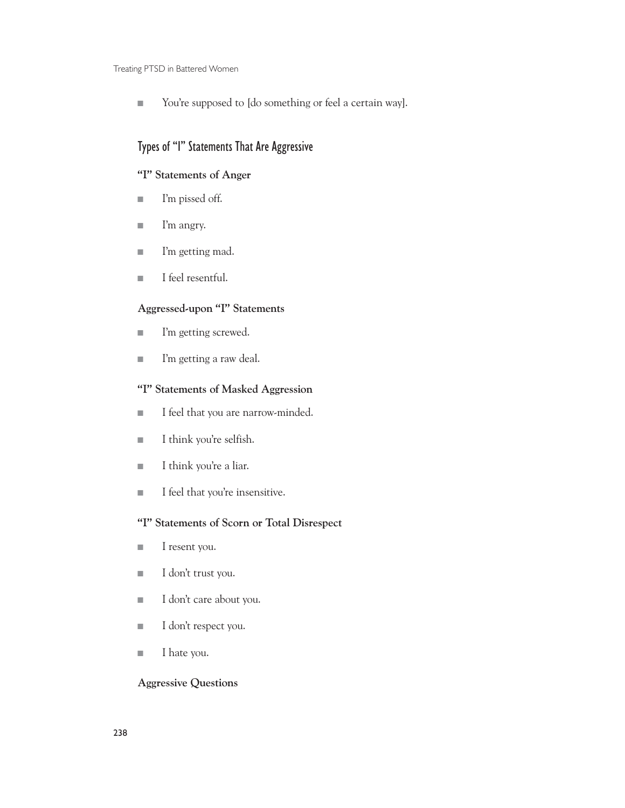■ You're supposed to [do something or feel a certain way].

## Types of "I" Statements That Are Aggressive

## **"I" Statements of Anger**

- I'm pissed off.
- **I'm angry.**
- I'm getting mad.
- I feel resentful.

## **Aggressed-upon "I" Statements**

- **I'm getting screwed.**
- **I'm getting a raw deal.**

## **"I" Statements of Masked Aggression**

- **I** feel that you are narrow-minded.
- **I** think you're selfish.
- **I** think you're a liar.
- **I** feel that you're insensitive.

## **"I" Statements of Scorn or Total Disrespect**

- **I** resent you.
- I don't trust you.
- I don't care about you.
- I don't respect you.
- **I** hate you.

### **Aggressive Questions**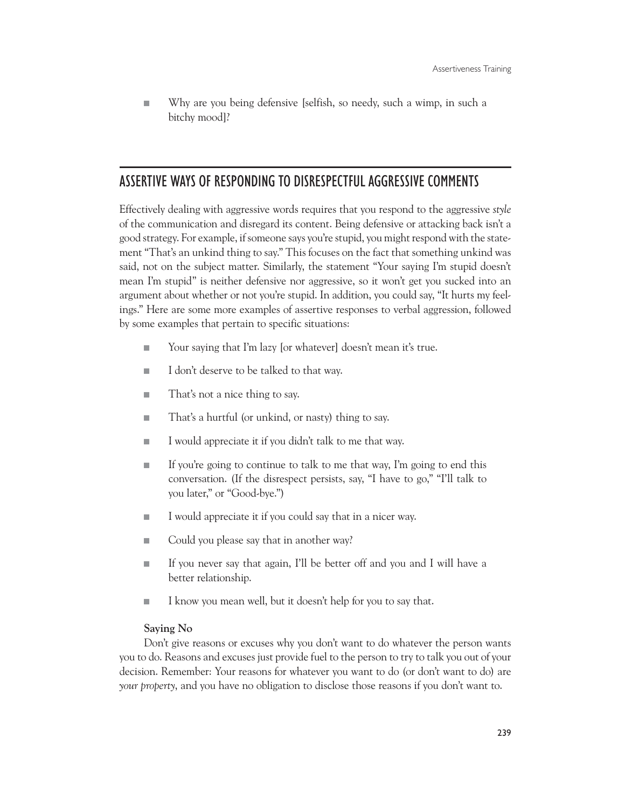Why are you being defensive [selfish, so needy, such a wimp, in such a bitchy mood]?

## ASSERTIVE WAYS OF RESPONDING TO DISRESPECTFUL AGGRESSIVE COMMENTS

Effectively dealing with aggressive words requires that you respond to the aggressive *style* of the communication and disregard its content. Being defensive or attacking back isn't a good strategy. For example, if someone says you're stupid, you might respond with the statement "That's an unkind thing to say." This focuses on the fact that something unkind was said, not on the subject matter. Similarly, the statement "Your saying I'm stupid doesn't mean I'm stupid" is neither defensive nor aggressive, so it won't get you sucked into an argument about whether or not you're stupid. In addition, you could say, "It hurts my feelings." Here are some more examples of assertive responses to verbal aggression, followed by some examples that pertain to specific situations:

- Your saying that I'm lazy [or whatever] doesn't mean it's true.
- I don't deserve to be talked to that way.
- That's not a nice thing to say.
- That's a hurtful (or unkind, or nasty) thing to say.
- $\blacksquare$  I would appreciate it if you didn't talk to me that way.
- $\blacksquare$  If you're going to continue to talk to me that way, I'm going to end this conversation. (If the disrespect persists, say, "I have to go," "I'll talk to you later," or "Good-bye.")
- $\blacksquare$  I would appreciate it if you could say that in a nicer way.
- $\Box$  Could you please say that in another way?
- $\blacksquare$  If you never say that again, I'll be better off and you and I will have a better relationship.
- I know you mean well, but it doesn't help for you to say that.

### **Saying No**

Don't give reasons or excuses why you don't want to do whatever the person wants you to do. Reasons and excuses just provide fuel to the person to try to talk you out of your decision. Remember: Your reasons for whatever you want to do (or don't want to do) are *your property*, and you have no obligation to disclose those reasons if you don't want to.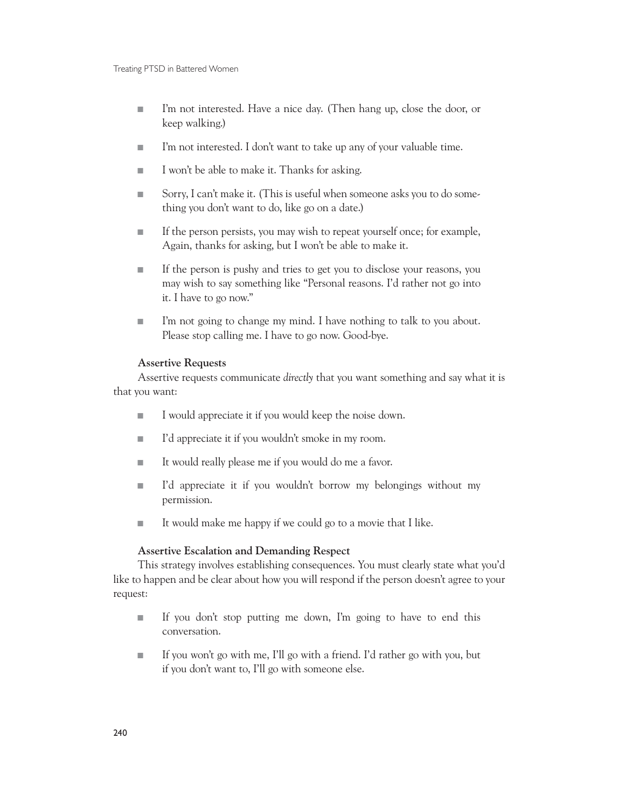- I'm not interested. Have a nice day. (Then hang up, close the door, or keep walking.)
- I'm not interested. I don't want to take up any of your valuable time.
- $\blacksquare$  I won't be able to make it. Thanks for asking.
- Sorry, I can't make it. (This is useful when someone asks you to do something you don't want to do, like go on a date.)
- $\blacksquare$  If the person persists, you may wish to repeat yourself once; for example, Again, thanks for asking, but I won't be able to make it.
- If the person is pushy and tries to get you to disclose your reasons, you may wish to say something like "Personal reasons. I'd rather not go into it. I have to go now."
- I'm not going to change my mind. I have nothing to talk to you about. Please stop calling me. I have to go now. Good-bye.

#### **Assertive Requests**

Assertive requests communicate *directly* that you want something and say what it is that you want:

- I would appreciate it if you would keep the noise down.
- $\blacksquare$  I'd appreciate it if you wouldn't smoke in my room.
- It would really please me if you would do me a favor.
- If I'd appreciate it if you wouldn't borrow my belongings without my permission.
- $\blacksquare$  It would make me happy if we could go to a movie that I like.

## **Assertive Escalation and Demanding Respect**

This strategy involves establishing consequences. You must clearly state what you'd like to happen and be clear about how you will respond if the person doesn't agree to your request:

- If you don't stop putting me down, I'm going to have to end this conversation.
- If you won't go with me, I'll go with a friend. I'd rather go with you, but if you don't want to, I'll go with someone else.